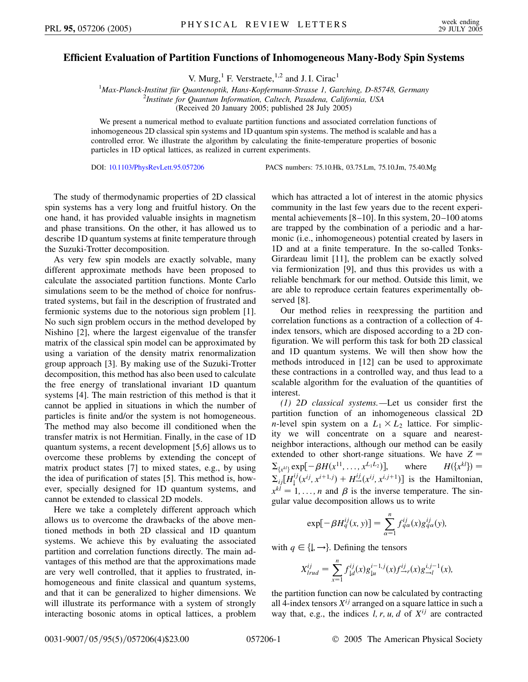## **Efficient Evaluation of Partition Functions of Inhomogeneous Many-Body Spin Systems**

V. Murg, $<sup>1</sup>$  F. Verstraete, $<sup>1,2</sup>$  and J. I. Cirac<sup>1</sup></sup></sup>

<sup>1</sup>Max-Planck-Institut für Quantenoptik, Hans-Kopfermann-Strasse 1, Garching, D-85748, Germany<br><sup>2</sup>Institute for Quantum Information, Caltach, Pasadana, California, USA *Institute for Quantum Information, Caltech, Pasadena, California, USA* (Received 20 January 2005; published 28 July 2005)

We present a numerical method to evaluate partition functions and associated correlation functions of inhomogeneous 2D classical spin systems and 1D quantum spin systems. The method is scalable and has a controlled error. We illustrate the algorithm by calculating the finite-temperature properties of bosonic particles in 1D optical lattices, as realized in current experiments.

DOI: [10.1103/PhysRevLett.95.057206](http://dx.doi.org/10.1103/PhysRevLett.95.057206) PACS numbers: 75.10.Hk, 03.75.Lm, 75.10.Jm, 75.40.Mg

The study of thermodynamic properties of 2D classical spin systems has a very long and fruitful history. On the one hand, it has provided valuable insights in magnetism and phase transitions. On the other, it has allowed us to describe 1D quantum systems at finite temperature through the Suzuki-Trotter decomposition.

As very few spin models are exactly solvable, many different approximate methods have been proposed to calculate the associated partition functions. Monte Carlo simulations seem to be the method of choice for nonfrustrated systems, but fail in the description of frustrated and fermionic systems due to the notorious sign problem [1]. No such sign problem occurs in the method developed by Nishino [2], where the largest eigenvalue of the transfer matrix of the classical spin model can be approximated by using a variation of the density matrix renormalization group approach [3]. By making use of the Suzuki-Trotter decomposition, this method has also been used to calculate the free energy of translational invariant 1D quantum systems [4]. The main restriction of this method is that it cannot be applied in situations in which the number of particles is finite and/or the system is not homogeneous. The method may also become ill conditioned when the transfer matrix is not Hermitian. Finally, in the case of 1D quantum systems, a recent development [5,6] allows us to overcome these problems by extending the concept of matrix product states [7] to mixed states, e.g., by using the idea of purification of states [5]. This method is, however, specially designed for 1D quantum systems, and cannot be extended to classical 2D models.

Here we take a completely different approach which allows us to overcome the drawbacks of the above mentioned methods in both 2D classical and 1D quantum systems. We achieve this by evaluating the associated partition and correlation functions directly. The main advantages of this method are that the approximations made are very well controlled, that it applies to frustrated, inhomogeneous and finite classical and quantum systems, and that it can be generalized to higher dimensions. We will illustrate its performance with a system of strongly interacting bosonic atoms in optical lattices, a problem which has attracted a lot of interest in the atomic physics community in the last few years due to the recent experimental achievements [8–10]. In this system, 20–100 atoms are trapped by the combination of a periodic and a harmonic (i.e., inhomogeneous) potential created by lasers in 1D and at a finite temperature. In the so-called Tonks-Girardeau limit [11], the problem can be exactly solved via fermionization [9], and thus this provides us with a reliable benchmark for our method. Outside this limit, we are able to reproduce certain features experimentally observed [8].

Our method relies in reexpressing the partition and correlation functions as a contraction of a collection of 4 index tensors, which are disposed according to a 2D configuration. We will perform this task for both 2D classical and 1D quantum systems. We will then show how the methods introduced in [12] can be used to approximate these contractions in a controlled way, and thus lead to a scalable algorithm for the evaluation of the quantities of interest.

*(1) 2D classical systems.—*Let us consider first the partition function of an inhomogeneous classical 2D *n*-level spin system on a  $L_1 \times L_2$  lattice. For simplicity we will concentrate on a square and nearestneighbor interactions, although our method can be easily extended to other short-range situations. We have  $Z =$  $\sum_{\{x^{kl}\}} \exp[-\beta H(x^{11}, \dots, x^{L_1 L_2})],$  where  $H(\{x^{kl}\}) = \sum_{ij} [H_j^{ij}(x^{ij}, x^{i+1,j}) + H_{j}^{ij}(x^{ij}, x^{i,j+1})]$  is the Hamiltonian,  $x^{kl} = 1, \ldots, n$  and  $\beta$  is the inverse temperature. The singular value decomposition allows us to write

$$
\exp[-\beta H_q^{ij}(x, y)] = \sum_{\alpha=1}^n f_{q\alpha}^{ij}(x)g_{q\alpha}^{ij}(y),
$$

with  $q \in \{\downarrow, \rightarrow\}$ . Defining the tensors

$$
X_{lrud}^{ij} = \sum_{x=1}^{n} f_{1d}^{ij}(x) g_{1u}^{i-1,j}(x) f_{\rightarrow r}^{ij}(x) g_{\rightarrow l}^{i,j-1}(x),
$$

the partition function can now be calculated by contracting all 4-index tensors  $X^{ij}$  arranged on a square lattice in such a way that, e.g., the indices  $l, r, u, d$  of  $X^{ij}$  are contracted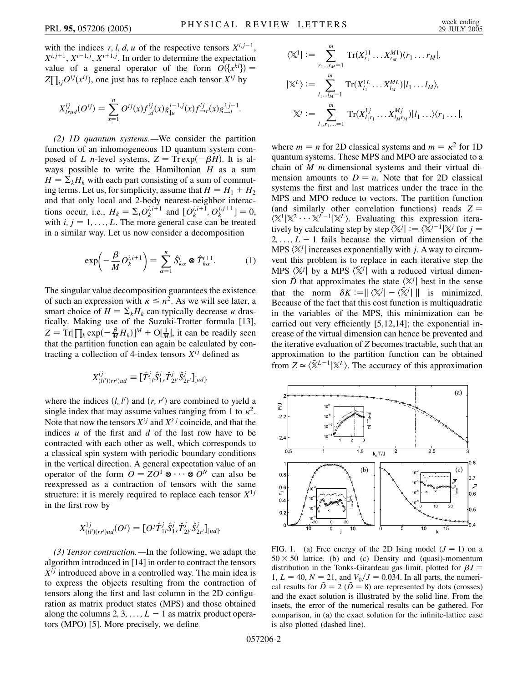with the indices  $r, l, d, u$  of the respective tensors  $X^{i,j-1}$ ,  $X^{i,j+1}$ ,  $X^{i-1,j}$ ,  $X^{i+1,j}$ . In order to determine the expectation value of a general operator of the form  $O({x^{kl}})$  =  $Z\prod_{ij}O^{ij}(x^{ij})$ , one just has to replace each tensor  $X^{ij}$  by

$$
X_{lrud}^{ij}(O^{ij}) = \sum_{x=1}^{n} O^{ij}(x) f_{ld}^{ij}(x) g_{lu}^{i-1,j}(x) f_{\rightarrow r}^{ij}(x) g_{\rightarrow l}^{i,j-1}.
$$

*(2) 1D quantum systems.—*We consider the partition function of an inhomogeneous 1D quantum system composed of *L n*-level systems,  $Z = \text{Tr} \exp(-\beta H)$ . It is always possible to write the Hamiltonian *H* as a sum  $H = \sum_k H_k$  with each part consisting of a sum of commuting terms. Let us, for simplicity, assume that  $H = H_1 + H_2$ and that only local and 2-body nearest-neighbor interactions occur, i.e.,  $H_k = \sum_i O_k^{i,i+1}$  and  $[O_k^{i,i+1}, O_k^{j,j+1}] = 0$ , with  $i, j = 1, \ldots, L$ . The more general case can be treated in a similar way. Let us now consider a decomposition

$$
\exp\left(-\frac{\beta}{M}O_k^{i,i+1}\right) = \sum_{\alpha=1}^{\kappa} \hat{S}_{k\alpha}^i \otimes \hat{T}_{k\alpha}^{i+1}.
$$
 (1)

The singular value decomposition guarantees the existence of such an expression with  $\kappa \leq n^2$ . As we will see later, a smart choice of  $H = \sum_k H_k$  can typically decrease  $\kappa$  drastically. Making use of the Suzuki-Trotter formula [13],  $Z = Tr\left[\prod_k \exp\left(-\frac{B}{M}H_k\right)\right]^M + O\left[\frac{1}{M}\right]$ , it can be readily seen that the partition function can again be calculated by contracting a collection of 4-index tensors  $X^{ij}$  defined as

$$
X_{(ll')(rr')ud}^{ij} \equiv [\hat{T}_{1l}^j \hat{S}_{1r}^j \hat{T}_{2l'}^j \hat{S}_{2r'}^j]_{[ud]},
$$

where the indices  $(l, l')$  and  $(r, r')$  are combined to yield a single index that may assume values ranging from 1 to  $\kappa^2$ . Note that now the tensors  $X^{ij}$  and  $X^{i'j}$  coincide, and that the indices *u* of the first and *d* of the last row have to be contracted with each other as well, which corresponds to a classical spin system with periodic boundary conditions in the vertical direction. A general expectation value of an operator of the form  $Q = ZQ^1 \otimes \cdots \otimes Q^N$  can also be reexpressed as a contraction of tensors with the same structure: it is merely required to replace each tensor  $X^{1j}$ in the first row by

$$
X_{(ll')(rr')ud}^{1j}(O^j) = [O^j \hat{T}_{1l}^j \hat{S}_{1r}^j \hat{T}_{2l'}^j \hat{S}_{2r'}^j]_{[ud]}.
$$

*(3) Tensor contraction.—*In the following, we adapt the algorithm introduced in [14] in order to contract the tensors *Xij* introduced above in a controlled way. The main idea is to express the objects resulting from the contraction of tensors along the first and last column in the 2D configuration as matrix product states (MPS) and those obtained along the columns 2, 3, ...,  $L-1$  as matrix product operators (MPO) [5]. More precisely, we define

$$
\langle \mathbb{X}^1 | := \sum_{r_1...r_M=1}^m \text{Tr}(X_{r_1}^{11} \dots X_{r_M}^{M1}) \langle r_1 \dots r_M |,
$$
  

$$
|\mathbb{X}^L \rangle := \sum_{l_1...l_M=1}^m \text{Tr}(X_{l_1}^{1L} \dots X_{l_M}^{ML}) | l_1 \dots l_M \rangle,
$$
  

$$
\mathbb{X}^j := \sum_{l_1,r_1,...=1}^m \text{Tr}(X_{l_1r_1}^{1j} \dots X_{l_Mr_M}^{Mj}) | l_1 \dots \rangle \langle r_1 \dots |,
$$

where  $m = n$  for 2D classical systems and  $m = \kappa^2$  for 1D quantum systems. These MPS and MPO are associated to a chain of *M m*-dimensional systems and their virtual dimension amounts to  $D = n$ . Note that for 2D classical systems the first and last matrices under the trace in the MPS and MPO reduce to vectors. The partition function (and similarly other correlation functions) reads  $Z =$  $\langle \mathbb{X}^1 | \mathbb{X}^2 \cdots \mathbb{X}^{L-1} | \mathbb{X}^L \rangle$ . Evaluating this expression iteratively by calculating step by step  $\langle X^j | := \langle X^{j-1} | X^j \text{ for } j =$  $2, \ldots, L-1$  fails because the virtual dimension of the MPS  $\langle X^j \rangle$  increases exponentially with *j*. A way to circumvent this problem is to replace in each iterative step the MPS  $\langle X^j |$  by a MPS  $\langle \tilde{X}^j |$  with a reduced virtual dimension  $\tilde{D}$  that approximates the state  $\langle X^j |$  best in the sense that the norm  $\delta K := ||\langle X^j| - \langle \tilde{X}^j| ||$  is minimized. Because of the fact that this cost function is multiquadratic in the variables of the MPS, this minimization can be carried out very efficiently [5,12,14]; the exponential increase of the virtual dimension can hence be prevented and the iterative evaluation of *Z* becomes tractable, such that an approximation to the partition function can be obtained from  $Z \simeq \langle \tilde{\mathbb{X}}^{L-1} | \mathbb{X}^L \rangle$ . The accuracy of this approximation



FIG. 1. (a) Free energy of the 2D Ising model  $(J = 1)$  on a  $50 \times 50$  lattice. (b) and (c) Density and (quasi)-momentum distribution in the Tonks-Girardeau gas limit, plotted for  $\beta J =$  $1, L = 40, N = 21, \text{ and } V_0/J = 0.034.$  In all parts, the numerical results for  $\tilde{D} = 2$  ( $\tilde{D} = 8$ ) are represented by dots (crosses) and the exact solution is illustrated by the solid line. From the insets, the error of the numerical results can be gathered. For comparison, in (a) the exact solution for the infinite-lattice case is also plotted (dashed line).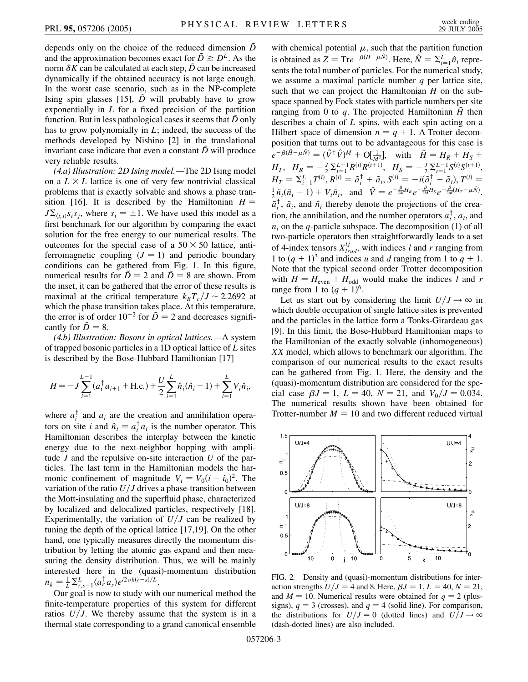depends only on the choice of the reduced dimension  $\tilde{D}$ and the approximation becomes exact for  $\tilde{D} \ge D^L$ . As the norm  $\delta K$  can be calculated at each step,  $\tilde{D}$  can be increased dynamically if the obtained accuracy is not large enough. In the worst case scenario, such as in the NP-complete Ising spin glasses [15],  $\tilde{D}$  will probably have to grow exponentially in *L* for a fixed precision of the partition function. But in less pathological cases it seems that *D*~ only has to grow polynomially in *L*; indeed, the success of the methods developed by Nishino [2] in the translational invariant case indicate that even a constant  $\tilde{D}$  will produce very reliable results.

*(4.a) Illustration: 2D Ising model.—*The 2D Ising model on a  $L \times L$  lattice is one of very few nontrivial classical problems that is exactly solvable and shows a phase transition [16]. It is described by the Hamiltonian  $H =$  $J\Sigma_{\langle i,j\rangle}$ *s<sub>i</sub>s<sub>j</sub>*, where  $s_i = \pm 1$ . We have used this model as a first benchmark for our algorithm by comparing the exact solution for the free energy to our numerical results. The outcomes for the special case of a  $50 \times 50$  lattice, antiferromagnetic coupling  $(J = 1)$  and periodic boundary conditions can be gathered from Fig. 1. In this figure, numerical results for  $\tilde{D} = 2$  and  $\tilde{D} = 8$  are shown. From the inset, it can be gathered that the error of these results is maximal at the critical temperature  $k_B T_c / J \sim 2.2692$  at which the phase transition takes place. At this temperature, the error is of order  $10^{-2}$  for  $\tilde{D} = 2$  and decreases significantly for  $\tilde{D} = 8$ .

*(4.b) Illustration: Bosons in optical lattices.—*A system of trapped bosonic particles in a 1D optical lattice of *L* sites is described by the Bose-Hubbard Hamiltonian [17]

$$
H = -J\sum_{i=1}^{L-1} (a_i^{\dagger} a_{i+1} + \text{H.c.}) + \frac{U}{2}\sum_{i=1}^{L} \hat{n}_i (\hat{n}_i - 1) + \sum_{i=1}^{L} V_i \hat{n}_i,
$$

where  $a_i^{\dagger}$  and  $a_i$  are the creation and annihilation operators on site *i* and  $\hat{n}_i = a_i^\dagger a_i$  is the number operator. This Hamiltonian describes the interplay between the kinetic energy due to the next-neighbor hopping with amplitude *J* and the repulsive on-site interaction *U* of the particles. The last term in the Hamiltonian models the harmonic confinement of magnitude  $V_i = V_0(i - i_0)^2$ . The variation of the ratio  $U/J$  drives a phase-transition between the Mott-insulating and the superfluid phase, characterized by localized and delocalized particles, respectively [18]. Experimentally, the variation of  $U/J$  can be realized by tuning the depth of the optical lattice [17,19]. On the other hand, one typically measures directly the momentum distribution by letting the atomic gas expand and then measuring the density distribution. Thus, we will be mainly interested here in the (quasi)-momentum distribution  $n_k = \frac{1}{L} \sum_{r,s=1}^{L} \langle a_r^{\dagger} a_s \rangle e^{i2\pi k(r-s)/L}$ .

Our goal is now to study with our numerical method the finite-temperature properties of this system for different ratios  $U/J$ . We thereby assume that the system is in a thermal state corresponding to a grand canonical ensemble with chemical potential  $\mu$ , such that the partition function is obtained as  $Z = \text{Tr}e^{-\beta(H - \mu \hat{N})}$ . Here,  $\hat{N} = \sum_{i=1}^{L} \hat{n}_i$  represents the total number of particles. For the numerical study, we assume a maximal particle number *q* per lattice site, such that we can project the Hamiltonian *H* on the subspace spanned by Fock states with particle numbers per site ranging from 0 to *q*. The projected Hamiltonian *H*~ then describes a chain of *L* spins, with each spin acting on a Hilbert space of dimension  $n = q + 1$ . A Trotter decomposition that turns out to be advantageous for this case is  $e^{-\beta(\tilde{H}-\mu\tilde{N})} = (\hat{V}^{\dagger}\hat{V})^M + O[\frac{1}{M^2}],$  with  $\tilde{H} = H_R + H_S + H_S$  $H_T$ ,  $H_R = -\frac{J}{2} \sum_{i=1}^{L-1} R^{(i)} R^{(i+1)}$ ,  $H_S = -\frac{J}{2} \sum_{i=1}^{L-1} S^{(i)} S^{(i+1)}$ ,  $H_T = \sum_{i=1}^L T^{(i)}$ ,  $R^{(i)} = \tilde{a}_i^{\dagger} + \tilde{a}_i$ ,  $S^{(i)} = -i(\tilde{a}_i^{\dagger} - \tilde{a}_i)$ ,  $T^{(i)} =$  $\frac{1}{2}\tilde{n}_i(\tilde{n}_i-1) + V_i\tilde{n}_i$ , and  $\hat{V} = e^{-\frac{\beta}{2M}H_R}e^{-\frac{\beta}{2M}H_S}e^{-\frac{\beta}{2M}(H_T-\mu\hat{N})}$ .  $\overline{\tilde{a}}_i^{\dagger}$ ,  $\tilde{a}_i$ , and  $\tilde{n}_i$  thereby denote the projections of the creation, the annihilation, and the number operators  $a_i^{\dagger}$ ,  $a_i$ , and  $n_i$  on the *q*-particle subspace. The decomposition (1) of all two-particle operators then straightforwardly leads to a set of 4-index tensors  $X_{lrud}^{ij}$ , with indices *l* and *r* ranging from 1 to  $(q + 1)^3$  and indices *u* and *d* ranging from 1 to  $q + 1$ . Note that the typical second order Trotter decomposition with  $H = H_{\text{even}} + H_{\text{odd}}$  would make the indices *l* and *r* 

range from 1 to  $(q + 1)^6$ . Let us start out by considering the limit  $U/J \rightarrow \infty$  in which double occupation of single lattice sites is prevented and the particles in the lattice form a Tonks-Girardeau gas [9]. In this limit, the Bose-Hubbard Hamiltonian maps to the Hamiltonian of the exactly solvable (inhomogeneous) *XX* model, which allows to benchmark our algorithm. The comparison of our numerical results to the exact results can be gathered from Fig. 1. Here, the density and the (quasi)-momentum distribution are considered for the special case  $\beta J = 1$ ,  $L = 40$ ,  $N = 21$ , and  $V_0/J = 0.034$ . The numerical results shown have been obtained for Trotter-number  $M = 10$  and two different reduced virtual



FIG. 2. Density and (quasi)-momentum distributions for interaction strengths  $U/J = 4$  and 8. Here,  $\beta J = 1, L = 40, N = 21$ , and  $M = 10$ . Numerical results were obtained for  $q = 2$  (plussigns),  $q = 3$  (crosses), and  $q = 4$  (solid line). For comparison, the distributions for  $U/J = 0$  (dotted lines) and  $U/J \rightarrow \infty$ (dash-dotted lines) are also included.